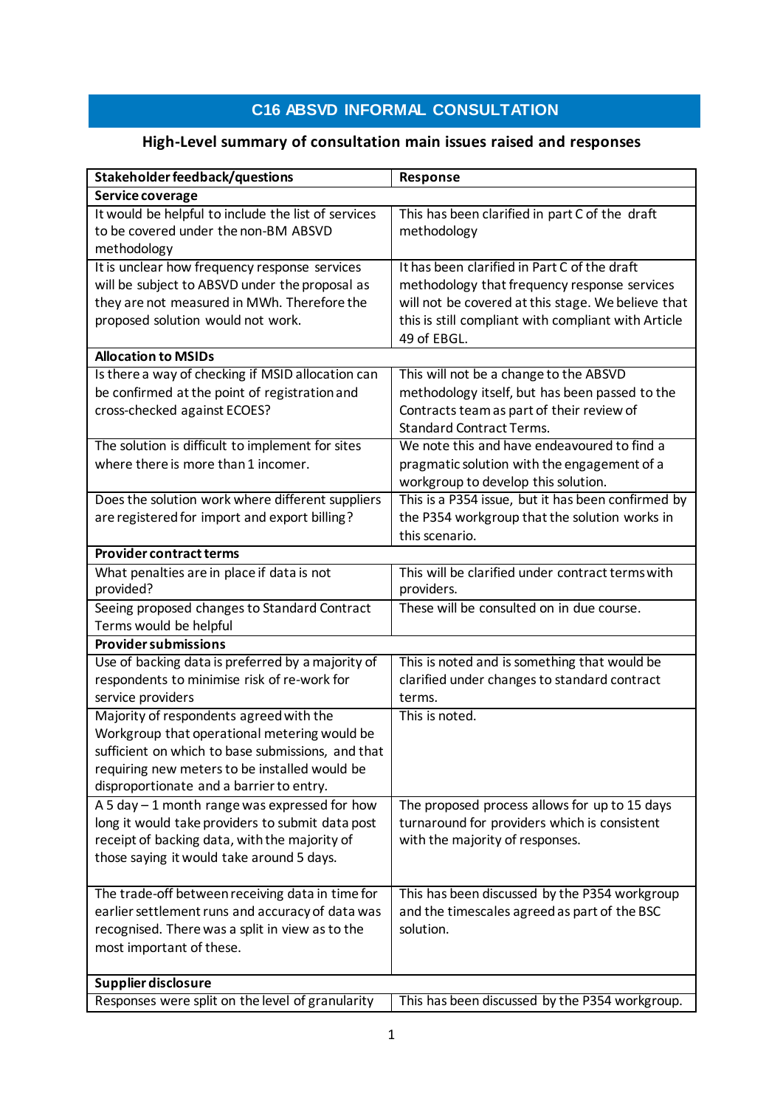## **C16 ABSVD INFORMAL CONSULTATION**

## **High-Level summary of consultation main issues raised and responses**

| Stakeholder feedback/questions                      | Response                                            |
|-----------------------------------------------------|-----------------------------------------------------|
| Service coverage                                    |                                                     |
| It would be helpful to include the list of services | This has been clarified in part C of the draft      |
| to be covered under the non-BM ABSVD                | methodology                                         |
| methodology                                         |                                                     |
| It is unclear how frequency response services       | It has been clarified in Part C of the draft        |
| will be subject to ABSVD under the proposal as      | methodology that frequency response services        |
| they are not measured in MWh. Therefore the         | will not be covered at this stage. We believe that  |
| proposed solution would not work.                   | this is still compliant with compliant with Article |
|                                                     | 49 of EBGL.                                         |
| <b>Allocation to MSIDs</b>                          |                                                     |
| Is there a way of checking if MSID allocation can   | This will not be a change to the ABSVD              |
| be confirmed at the point of registration and       | methodology itself, but has been passed to the      |
| cross-checked against ECOES?                        | Contracts team as part of their review of           |
|                                                     | <b>Standard Contract Terms.</b>                     |
| The solution is difficult to implement for sites    | We note this and have endeavoured to find a         |
| where there is more than 1 incomer.                 | pragmatic solution with the engagement of a         |
|                                                     | workgroup to develop this solution.                 |
| Does the solution work where different suppliers    | This is a P354 issue, but it has been confirmed by  |
| are registered for import and export billing?       | the P354 workgroup that the solution works in       |
|                                                     | this scenario.                                      |
| <b>Provider contract terms</b>                      |                                                     |
| What penalties are in place if data is not          | This will be clarified under contract terms with    |
| provided?                                           | providers.                                          |
| Seeing proposed changes to Standard Contract        | These will be consulted on in due course.           |
| Terms would be helpful                              |                                                     |
| <b>Provider submissions</b>                         |                                                     |
| Use of backing data is preferred by a majority of   | This is noted and is something that would be        |
| respondents to minimise risk of re-work for         | clarified under changes to standard contract        |
| service providers                                   | terms.                                              |
| Majority of respondents agreed with the             | This is noted.                                      |
| Workgroup that operational metering would be        |                                                     |
| sufficient on which to base submissions, and that   |                                                     |
| requiring new meters to be installed would be       |                                                     |
| disproportionate and a barrier to entry.            |                                                     |
| A 5 day $-1$ month range was expressed for how      | The proposed process allows for up to 15 days       |
| long it would take providers to submit data post    | turnaround for providers which is consistent        |
| receipt of backing data, with the majority of       | with the majority of responses.                     |
| those saying it would take around 5 days.           |                                                     |
|                                                     |                                                     |
| The trade-off between receiving data in time for    | This has been discussed by the P354 workgroup       |
| earlier settlement runs and accuracy of data was    | and the timescales agreed as part of the BSC        |
| recognised. There was a split in view as to the     | solution.                                           |
| most important of these.                            |                                                     |
| Supplier disclosure                                 |                                                     |
| Responses were split on the level of granularity    | This has been discussed by the P354 workgroup.      |
|                                                     |                                                     |